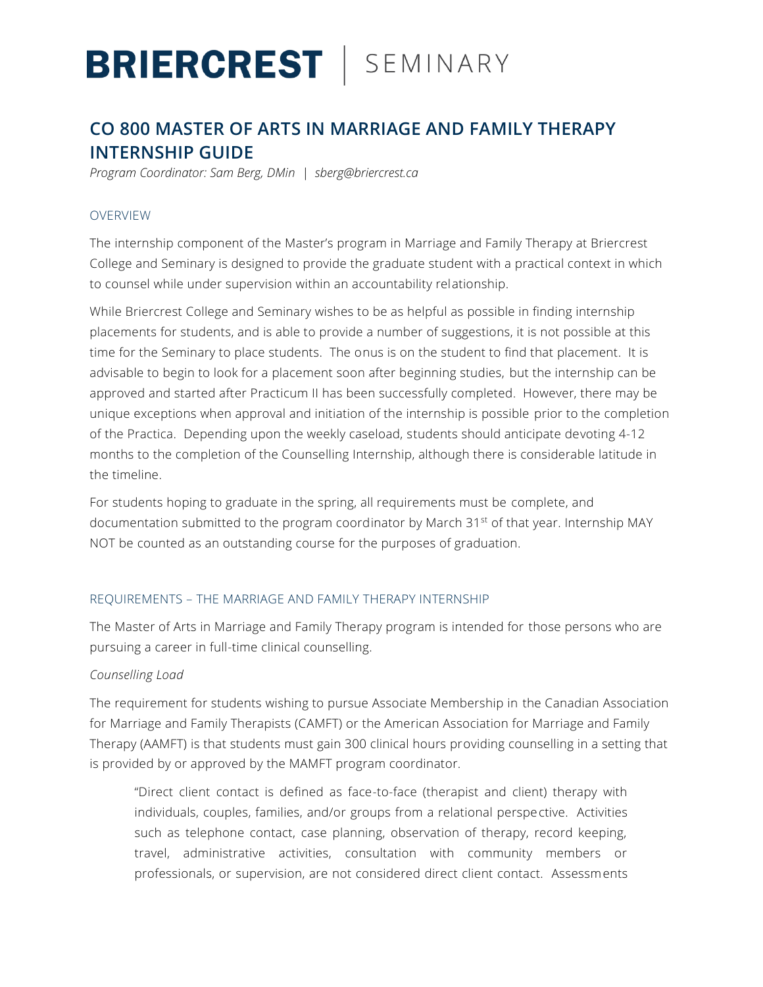# **BRIERCREST** | SEMINARY

## **CO 800 MASTER OF ARTS IN MARRIAGE AND FAMILY THERAPY INTERNSHIP GUIDE**

*Program Coordinator: Sam Berg, DMin | sberg@briercrest.ca* 

### OVERVIEW

The internship component of the Master's program in Marriage and Family Therapy at Briercrest College and Seminary is designed to provide the graduate student with a practical context in which to counsel while under supervision within an accountability relationship.

While Briercrest College and Seminary wishes to be as helpful as possible in finding internship placements for students, and is able to provide a number of suggestions, it is not possible at this time for the Seminary to place students. The onus is on the student to find that placement. It is advisable to begin to look for a placement soon after beginning studies, but the internship can be approved and started after Practicum II has been successfully completed. However, there may be unique exceptions when approval and initiation of the internship is possible prior to the completion of the Practica. Depending upon the weekly caseload, students should anticipate devoting 4-12 months to the completion of the Counselling Internship, although there is considerable latitude in the timeline.

For students hoping to graduate in the spring, all requirements must be complete, and documentation submitted to the program coordinator by March 31<sup>st</sup> of that year. Internship MAY NOT be counted as an outstanding course for the purposes of graduation.

### REQUIREMENTS – THE MARRIAGE AND FAMILY THERAPY INTERNSHIP

The Master of Arts in Marriage and Family Therapy program is intended for those persons who are pursuing a career in full-time clinical counselling.

### *Counselling Load*

The requirement for students wishing to pursue Associate Membership in the Canadian Association for Marriage and Family Therapists (CAMFT) or the American Association for Marriage and Family Therapy (AAMFT) is that students must gain 300 clinical hours providing counselling in a setting that is provided by or approved by the MAMFT program coordinator.

"Direct client contact is defined as face-to-face (therapist and client) therapy with individuals, couples, families, and/or groups from a relational perspective. Activities such as telephone contact, case planning, observation of therapy, record keeping, travel, administrative activities, consultation with community members or professionals, or supervision, are not considered direct client contact. Assessments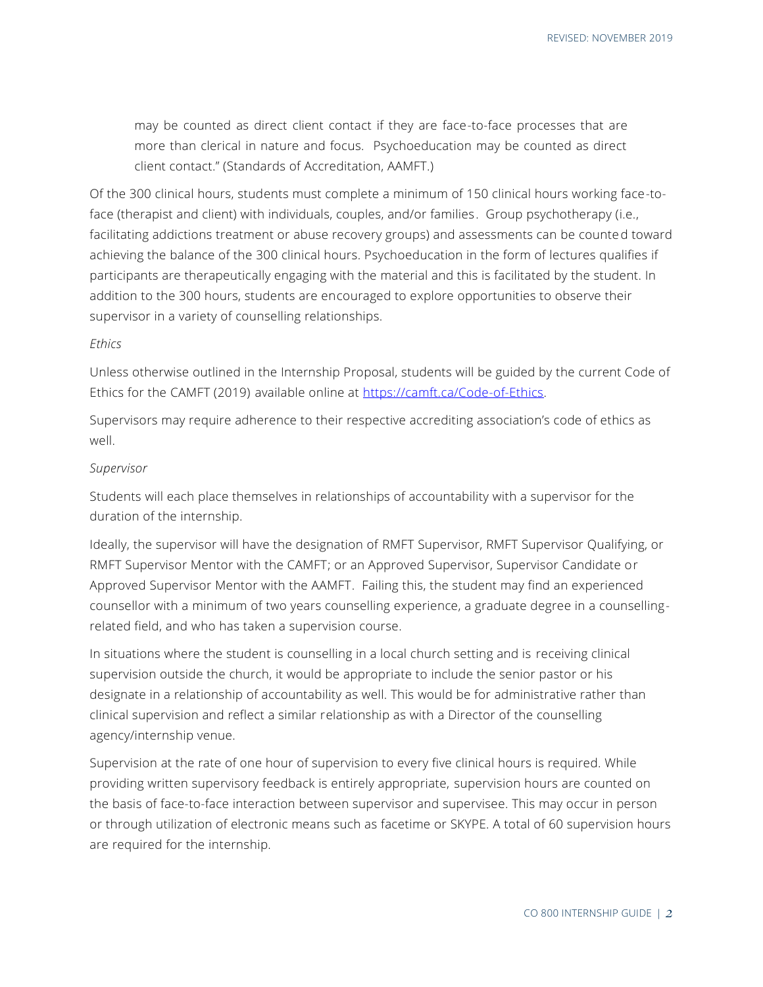may be counted as direct client contact if they are face-to-face processes that are more than clerical in nature and focus. Psychoeducation may be counted as direct client contact." (Standards of Accreditation, AAMFT.)

Of the 300 clinical hours, students must complete a minimum of 150 clinical hours working face-toface (therapist and client) with individuals, couples, and/or families. Group psychotherapy (i.e., facilitating addictions treatment or abuse recovery groups) and assessments can be counted toward achieving the balance of the 300 clinical hours. Psychoeducation in the form of lectures qualifies if participants are therapeutically engaging with the material and this is facilitated by the student. In addition to the 300 hours, students are encouraged to explore opportunities to observe their supervisor in a variety of counselling relationships.

#### *Ethics*

Unless otherwise outlined in the Internship Proposal, students will be guided by the current Code of Ethics for the CAMFT (2019) available online at [https://camft.ca/Code-of-Ethics.](https://camft.ca/Code-of-Ethics)

Supervisors may require adherence to their respective accrediting association's code of ethics as well.

#### *Supervisor*

Students will each place themselves in relationships of accountability with a supervisor for the duration of the internship.

Ideally, the supervisor will have the designation of RMFT Supervisor, RMFT Supervisor Qualifying, or RMFT Supervisor Mentor with the CAMFT; or an Approved Supervisor, Supervisor Candidate or Approved Supervisor Mentor with the AAMFT. Failing this, the student may find an experienced counsellor with a minimum of two years counselling experience, a graduate degree in a counsellingrelated field, and who has taken a supervision course.

In situations where the student is counselling in a local church setting and is receiving clinical supervision outside the church, it would be appropriate to include the senior pastor or his designate in a relationship of accountability as well. This would be for administrative rather than clinical supervision and reflect a similar relationship as with a Director of the counselling agency/internship venue.

Supervision at the rate of one hour of supervision to every five clinical hours is required. While providing written supervisory feedback is entirely appropriate, supervision hours are counted on the basis of face-to-face interaction between supervisor and supervisee. This may occur in person or through utilization of electronic means such as facetime or SKYPE. A total of 60 supervision hours are required for the internship.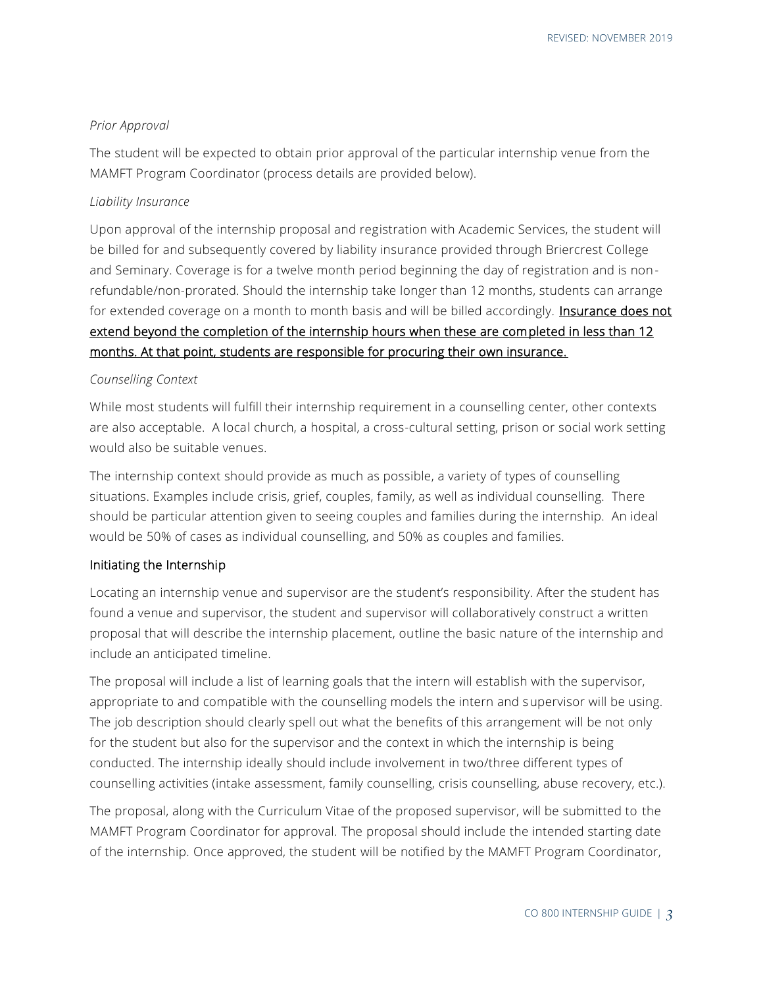#### *Prior Approval*

The student will be expected to obtain prior approval of the particular internship venue from the MAMFT Program Coordinator (process details are provided below).

#### *Liability Insurance*

Upon approval of the internship proposal and registration with Academic Services, the student will be billed for and subsequently covered by liability insurance provided through Briercrest College and Seminary. Coverage is for a twelve month period beginning the day of registration and is nonrefundable/non-prorated. Should the internship take longer than 12 months, students can arrange for extended coverage on a month to month basis and will be billed accordingly. **Insurance does not** extend beyond the completion of the internship hours when these are completed in less than 12 months. At that point, students are responsible for procuring their own insurance.

#### *Counselling Context*

While most students will fulfill their internship requirement in a counselling center, other contexts are also acceptable. A local church, a hospital, a cross-cultural setting, prison or social work setting would also be suitable venues.

The internship context should provide as much as possible, a variety of types of counselling situations. Examples include crisis, grief, couples, family, as well as individual counselling. There should be particular attention given to seeing couples and families during the internship. An ideal would be 50% of cases as individual counselling, and 50% as couples and families.

#### Initiating the Internship

Locating an internship venue and supervisor are the student's responsibility. After the student has found a venue and supervisor, the student and supervisor will collaboratively construct a written proposal that will describe the internship placement, outline the basic nature of the internship and include an anticipated timeline.

The proposal will include a list of learning goals that the intern will establish with the supervisor, appropriate to and compatible with the counselling models the intern and supervisor will be using. The job description should clearly spell out what the benefits of this arrangement will be not only for the student but also for the supervisor and the context in which the internship is being conducted. The internship ideally should include involvement in two/three different types of counselling activities (intake assessment, family counselling, crisis counselling, abuse recovery, etc.).

The proposal, along with the Curriculum Vitae of the proposed supervisor, will be submitted to the MAMFT Program Coordinator for approval. The proposal should include the intended starting date of the internship. Once approved, the student will be notified by the MAMFT Program Coordinator,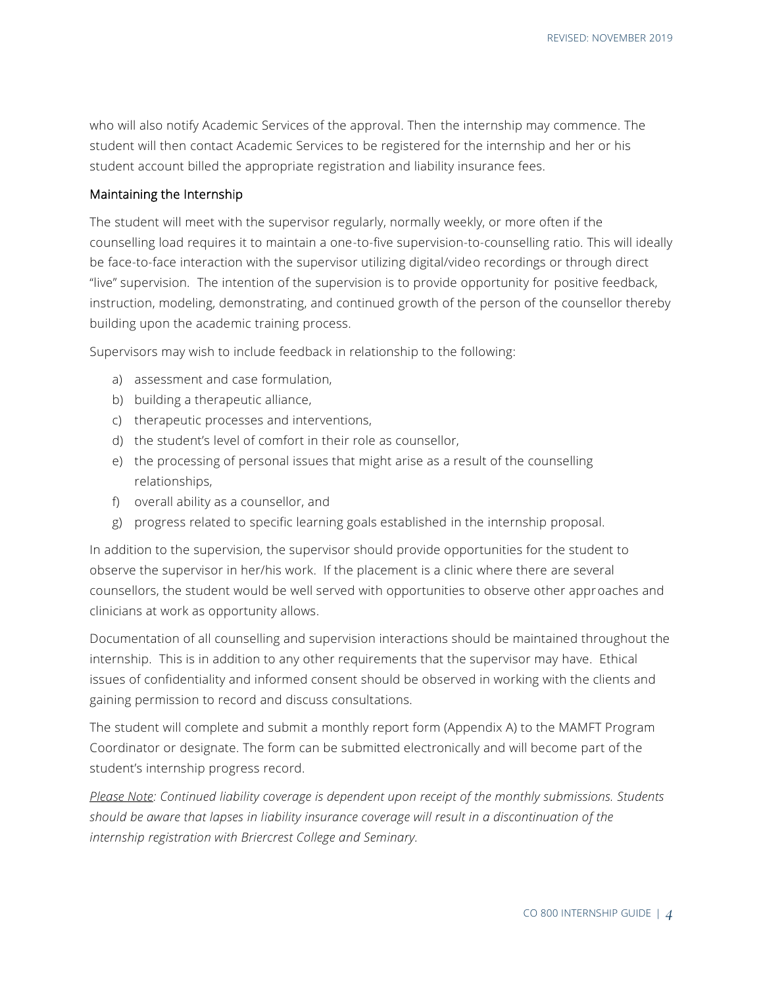who will also notify Academic Services of the approval. Then the internship may commence. The student will then contact Academic Services to be registered for the internship and her or his student account billed the appropriate registration and liability insurance fees.

#### Maintaining the Internship

The student will meet with the supervisor regularly, normally weekly, or more often if the counselling load requires it to maintain a one-to-five supervision-to-counselling ratio. This will ideally be face-to-face interaction with the supervisor utilizing digital/video recordings or through direct "live" supervision. The intention of the supervision is to provide opportunity for positive feedback, instruction, modeling, demonstrating, and continued growth of the person of the counsellor thereby building upon the academic training process.

Supervisors may wish to include feedback in relationship to the following:

- a) assessment and case formulation,
- b) building a therapeutic alliance,
- c) therapeutic processes and interventions,
- d) the student's level of comfort in their role as counsellor,
- e) the processing of personal issues that might arise as a result of the counselling relationships,
- f) overall ability as a counsellor, and
- g) progress related to specific learning goals established in the internship proposal.

In addition to the supervision, the supervisor should provide opportunities for the student to observe the supervisor in her/his work. If the placement is a clinic where there are several counsellors, the student would be well served with opportunities to observe other approaches and clinicians at work as opportunity allows.

Documentation of all counselling and supervision interactions should be maintained throughout the internship. This is in addition to any other requirements that the supervisor may have. Ethical issues of confidentiality and informed consent should be observed in working with the clients and gaining permission to record and discuss consultations.

The student will complete and submit a monthly report form (Appendix A) to the MAMFT Program Coordinator or designate. The form can be submitted electronically and will become part of the student's internship progress record.

*Please Note: Continued liability coverage is dependent upon receipt of the monthly submissions. Students should be aware that lapses in liability insurance coverage will result in a discontinuation of the internship registration with Briercrest College and Seminary.*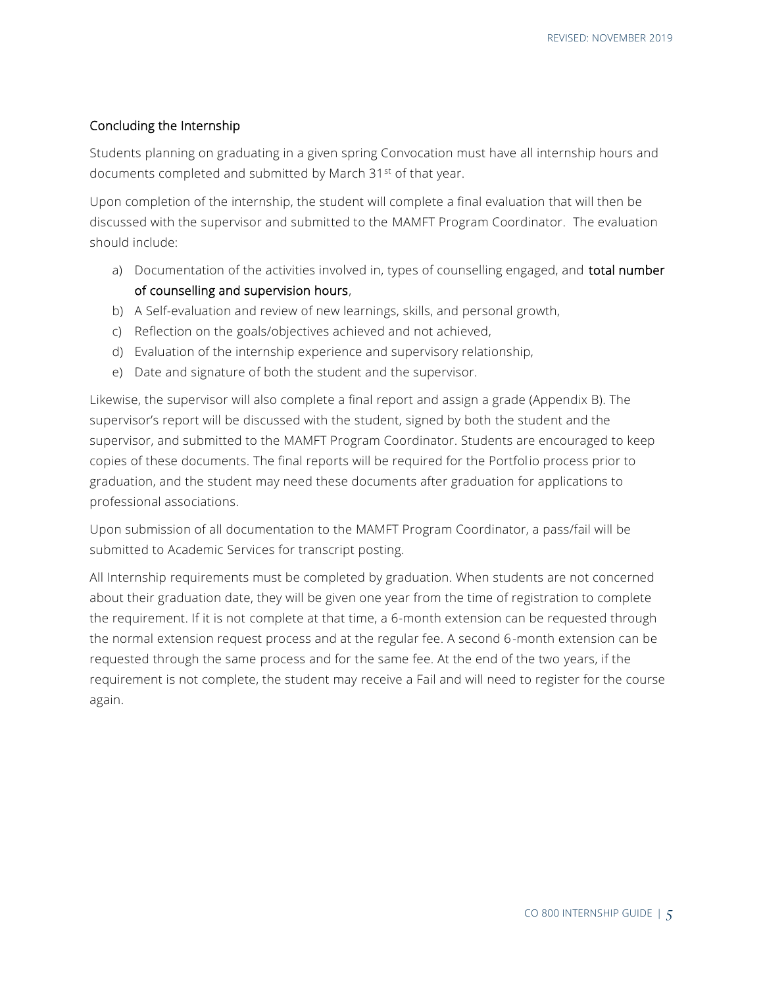#### Concluding the Internship

Students planning on graduating in a given spring Convocation must have all internship hours and documents completed and submitted by March 31st of that year.

Upon completion of the internship, the student will complete a final evaluation that will then be discussed with the supervisor and submitted to the MAMFT Program Coordinator. The evaluation should include:

- a) Documentation of the activities involved in, types of counselling engaged, and **total number** of counselling and supervision hours,
- b) A Self-evaluation and review of new learnings, skills, and personal growth,
- c) Reflection on the goals/objectives achieved and not achieved,
- d) Evaluation of the internship experience and supervisory relationship,
- e) Date and signature of both the student and the supervisor.

Likewise, the supervisor will also complete a final report and assign a grade (Appendix B). The supervisor's report will be discussed with the student, signed by both the student and the supervisor, and submitted to the MAMFT Program Coordinator. Students are encouraged to keep copies of these documents. The final reports will be required for the Portfolio process prior to graduation, and the student may need these documents after graduation for applications to professional associations.

Upon submission of all documentation to the MAMFT Program Coordinator, a pass/fail will be submitted to Academic Services for transcript posting.

All Internship requirements must be completed by graduation. When students are not concerned about their graduation date, they will be given one year from the time of registration to complete the requirement. If it is not complete at that time, a 6-month extension can be requested through the normal extension request process and at the regular fee. A second 6-month extension can be requested through the same process and for the same fee. At the end of the two years, if the requirement is not complete, the student may receive a Fail and will need to register for the course again.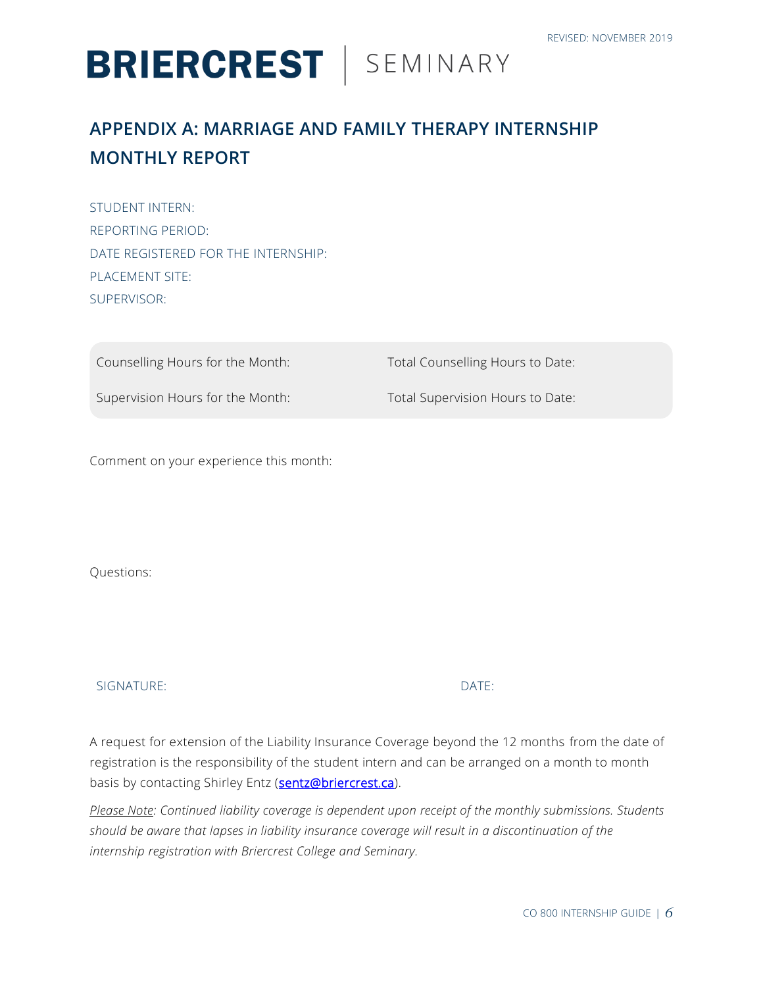# **BRIERCREST** | SEMINARY

## **APPENDIX A: MARRIAGE AND FAMILY THERAPY INTERNSHIP MONTHLY REPORT**

STUDENT INTERN: REPORTING PERIOD: DATE REGISTERED FOR THE INTERNSHIP: PLACEMENT SITE: SUPERVISOR:

Counselling Hours for the Month: Total Counselling Hours to Date: Supervision Hours for the Month: Total Supervision Hours to Date:

Comment on your experience this month:

Questions:

SIGNATURE: DATE:

A request for extension of the Liability Insurance Coverage beyond the 12 months from the date of registration is the responsibility of the student intern and can be arranged on a month to month basis by contacting Shirley Entz [\(sentz@briercrest.ca\)](mailto:sentz@briercrest.ca).

*Please Note: Continued liability coverage is dependent upon receipt of the monthly submissions. Students should be aware that lapses in liability insurance coverage will result in a discontinuation of the internship registration with Briercrest College and Seminary.*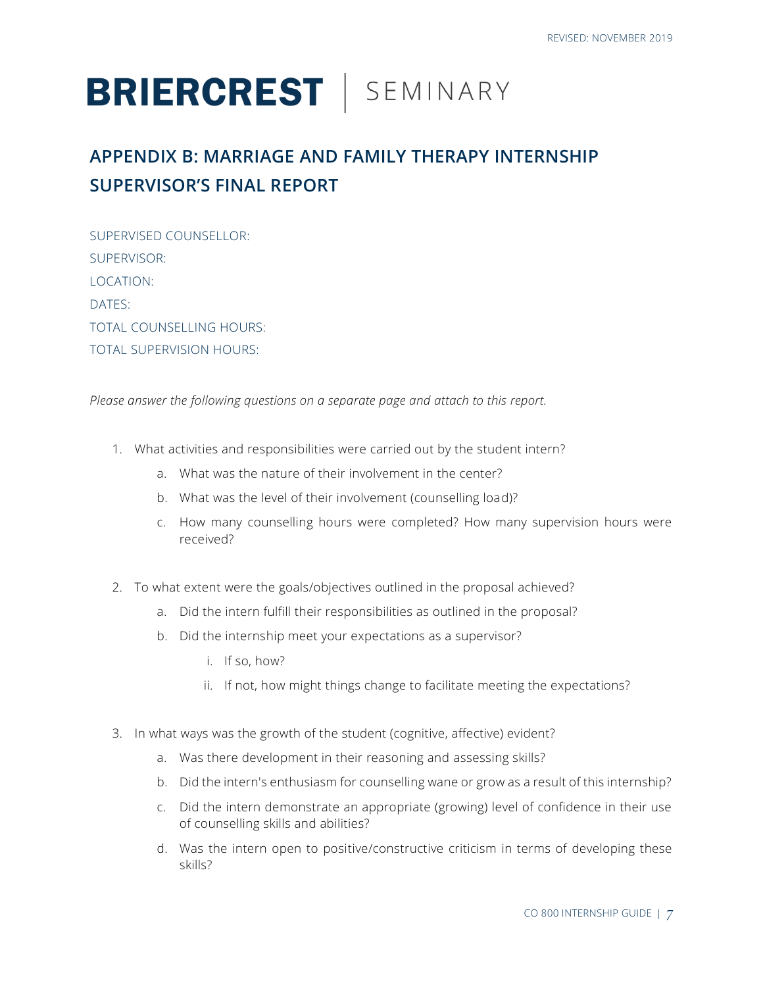# **BRIERCREST** | SEMINARY

## **APPENDIX B: MARRIAGE AND FAMILY THERAPY INTERNSHIP SUPERVISOR'S FINAL REPORT**

SUPERVISED COUNSELLOR: SUPERVISOR: LOCATION: DATES: TOTAL COUNSELLING HOURS: TOTAL SUPERVISION HOURS:

*Please answer the following questions on a separate page and attach to this report.*

- 1. What activities and responsibilities were carried out by the student intern?
	- a. What was the nature of their involvement in the center?
	- b. What was the level of their involvement (counselling load)?
	- c. How many counselling hours were completed? How many supervision hours were received?
- 2. To what extent were the goals/objectives outlined in the proposal achieved?
	- a. Did the intern fulfill their responsibilities as outlined in the proposal?
	- b. Did the internship meet your expectations as a supervisor?
		- i. If so, how?
		- ii. If not, how might things change to facilitate meeting the expectations?
- 3. In what ways was the growth of the student (cognitive, affective) evident?
	- a. Was there development in their reasoning and assessing skills?
	- b. Did the intern's enthusiasm for counselling wane or grow as a result of this internship?
	- c. Did the intern demonstrate an appropriate (growing) level of confidence in their use of counselling skills and abilities?
	- d. Was the intern open to positive/constructive criticism in terms of developing these skills?